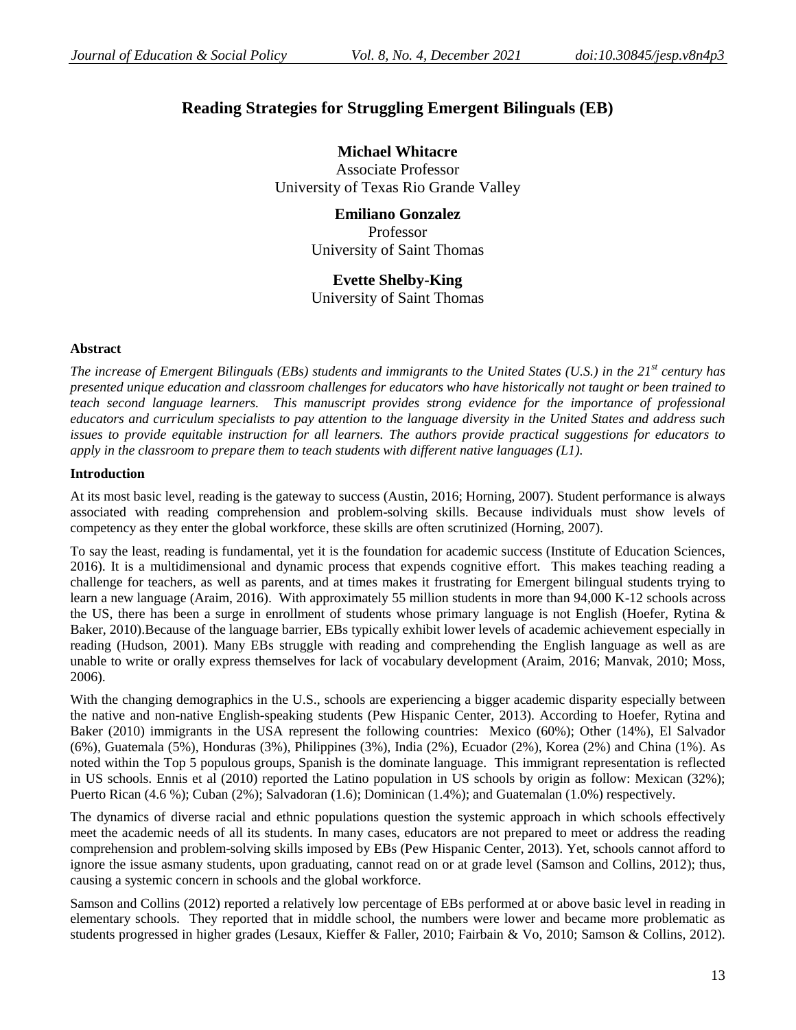# **Reading Strategies for Struggling Emergent Bilinguals (EB)**

**Michael Whitacre** Associate Professor University of Texas Rio Grande Valley

> **Emiliano Gonzalez**  Professor University of Saint Thomas

> **Evette Shelby-King** University of Saint Thomas

## **Abstract**

*The increase of Emergent Bilinguals (EBs) students and immigrants to the United States (U.S.) in the 21st century has presented unique education and classroom challenges for educators who have historically not taught or been trained to teach second language learners. This manuscript provides strong evidence for the importance of professional educators and curriculum specialists to pay attention to the language diversity in the United States and address such issues to provide equitable instruction for all learners. The authors provide practical suggestions for educators to apply in the classroom to prepare them to teach students with different native languages (L1).* 

## **Introduction**

At its most basic level, reading is the gateway to success (Austin, 2016; Horning, 2007). Student performance is always associated with reading comprehension and problem-solving skills. Because individuals must show levels of competency as they enter the global workforce, these skills are often scrutinized (Horning, 2007).

To say the least, reading is fundamental, yet it is the foundation for academic success (Institute of Education Sciences, 2016). It is a multidimensional and dynamic process that expends cognitive effort. This makes teaching reading a challenge for teachers, as well as parents, and at times makes it frustrating for Emergent bilingual students trying to learn a new language (Araim, 2016). With approximately 55 million students in more than 94,000 K-12 schools across the US, there has been a surge in enrollment of students whose primary language is not English (Hoefer, Rytina & Baker, 2010).Because of the language barrier, EBs typically exhibit lower levels of academic achievement especially in reading (Hudson, 2001). Many EBs struggle with reading and comprehending the English language as well as are unable to write or orally express themselves for lack of vocabulary development (Araim, 2016; Manvak, 2010; Moss, 2006).

With the changing demographics in the U.S., schools are experiencing a bigger academic disparity especially between the native and non-native English-speaking students (Pew Hispanic Center, 2013). According to Hoefer, Rytina and Baker (2010) immigrants in the USA represent the following countries: Mexico (60%); Other (14%), El Salvador (6%), Guatemala (5%), Honduras (3%), Philippines (3%), India (2%), Ecuador (2%), Korea (2%) and China (1%). As noted within the Top 5 populous groups, Spanish is the dominate language. This immigrant representation is reflected in US schools. Ennis et al (2010) reported the Latino population in US schools by origin as follow: Mexican (32%); Puerto Rican (4.6 %); Cuban (2%); Salvadoran (1.6); Dominican (1.4%); and Guatemalan (1.0%) respectively.

The dynamics of diverse racial and ethnic populations question the systemic approach in which schools effectively meet the academic needs of all its students. In many cases, educators are not prepared to meet or address the reading comprehension and problem-solving skills imposed by EBs (Pew Hispanic Center, 2013). Yet, schools cannot afford to ignore the issue asmany students, upon graduating, cannot read on or at grade level (Samson and Collins, 2012); thus, causing a systemic concern in schools and the global workforce.

Samson and Collins (2012) reported a relatively low percentage of EBs performed at or above basic level in reading in elementary schools. They reported that in middle school, the numbers were lower and became more problematic as students progressed in higher grades (Lesaux, Kieffer & Faller, 2010; Fairbain & Vo, 2010; Samson & Collins, 2012).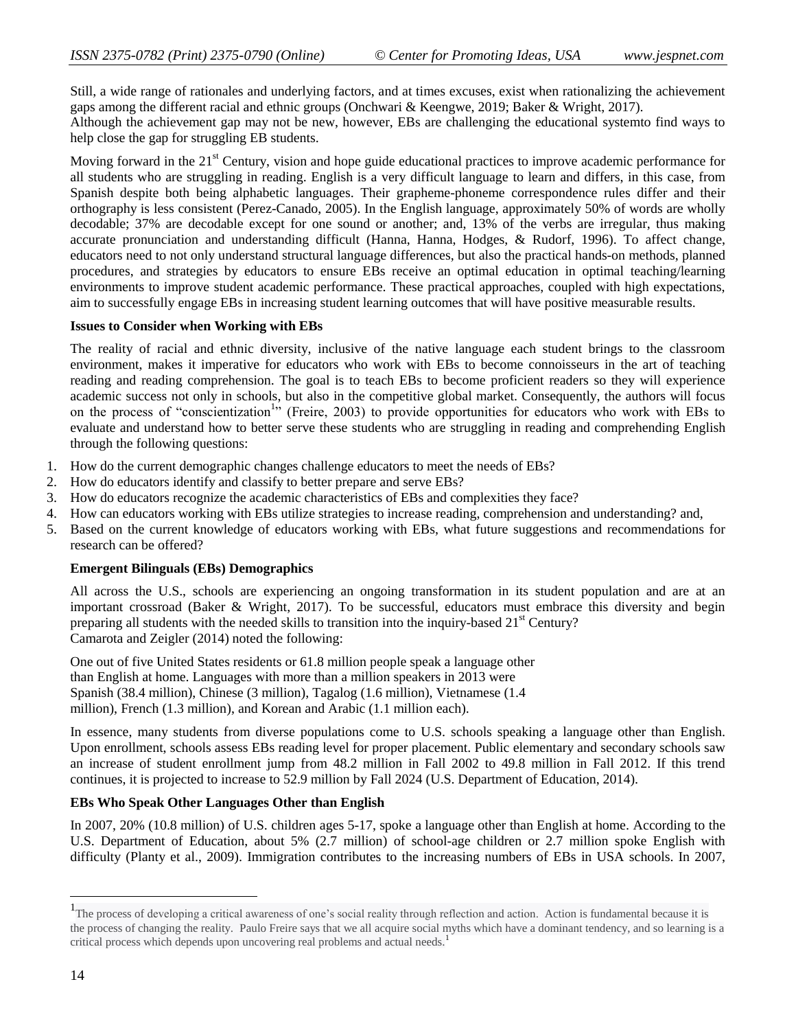Still, a wide range of rationales and underlying factors, and at times excuses, exist when rationalizing the achievement gaps among the different racial and ethnic groups (Onchwari & Keengwe, 2019; Baker & Wright, 2017).

Although the achievement gap may not be new, however, EBs are challenging the educational systemto find ways to help close the gap for struggling EB students.

Moving forward in the 21<sup>st</sup> Century, vision and hope guide educational practices to improve academic performance for all students who are struggling in reading. English is a very difficult language to learn and differs, in this case, from Spanish despite both being alphabetic languages. Their grapheme-phoneme correspondence rules differ and their orthography is less consistent (Perez-Canado, 2005). In the English language, approximately 50% of words are wholly decodable; 37% are decodable except for one sound or another; and, 13% of the verbs are irregular, thus making accurate pronunciation and understanding difficult (Hanna, Hanna, Hodges, & Rudorf, 1996). To affect change, educators need to not only understand structural language differences, but also the practical hands-on methods, planned procedures, and strategies by educators to ensure EBs receive an optimal education in optimal teaching/learning environments to improve student academic performance. These practical approaches, coupled with high expectations, aim to successfully engage EBs in increasing student learning outcomes that will have positive measurable results.

#### **Issues to Consider when Working with EBs**

The reality of racial and ethnic diversity, inclusive of the native language each student brings to the classroom environment, makes it imperative for educators who work with EBs to become connoisseurs in the art of teaching reading and reading comprehension. The goal is to teach EBs to become proficient readers so they will experience academic success not only in schools, but also in the competitive global market. Consequently, the authors will focus on the process of "conscientization<sup>1</sup>" (Freire, 2003) to provide opportunities for educators who work with EBs to evaluate and understand how to better serve these students who are struggling in reading and comprehending English through the following questions:

- 1. How do the current demographic changes challenge educators to meet the needs of EBs?
- 2. How do educators identify and classify to better prepare and serve EBs?
- 3. How do educators recognize the academic characteristics of EBs and complexities they face?
- 4. How can educators working with EBs utilize strategies to increase reading, comprehension and understanding? and,
- 5. Based on the current knowledge of educators working with EBs, what future suggestions and recommendations for research can be offered?

## **Emergent Bilinguals (EBs) Demographics**

All across the U.S., schools are experiencing an ongoing transformation in its student population and are at an important crossroad (Baker & Wright, 2017). To be successful, educators must embrace this diversity and begin preparing all students with the needed skills to transition into the inquiry-based 21<sup>st</sup> Century? Camarota and Zeigler (2014) noted the following:

One out of five United States residents or 61.8 million people speak a language other than English at home. Languages with more than a million speakers in 2013 were Spanish (38.4 million), Chinese (3 million), Tagalog (1.6 million), Vietnamese (1.4 million), French (1.3 million), and Korean and Arabic (1.1 million each).

In essence, many students from diverse populations come to U.S. schools speaking a language other than English. Upon enrollment, schools assess EBs reading level for proper placement. Public elementary and secondary schools saw an increase of student enrollment jump from 48.2 million in Fall 2002 to 49.8 million in Fall 2012. If this trend continues, it is projected to increase to 52.9 million by Fall 2024 (U.S. Department of Education, 2014).

## **EBs Who Speak Other Languages Other than English**

In 2007, 20% (10.8 million) of U.S. children ages 5-17, spoke a language other than English at home. According to the U.S. Department of Education, about 5% (2.7 million) of school-age children or 2.7 million spoke English with difficulty (Planty et al., 2009). Immigration contributes to the increasing numbers of EBs in USA schools. In 2007,

 $\overline{a}$ 

<sup>&</sup>lt;sup>1</sup>The process of developing a critical awareness of one's social reality through reflection and action. Action is fundamental because it is the process of changing the reality. Paulo Freire says that we all acquire social myths which have a dominant tendency, and so learning is a critical process which depends upon uncovering real problems and actual needs.<sup>1</sup>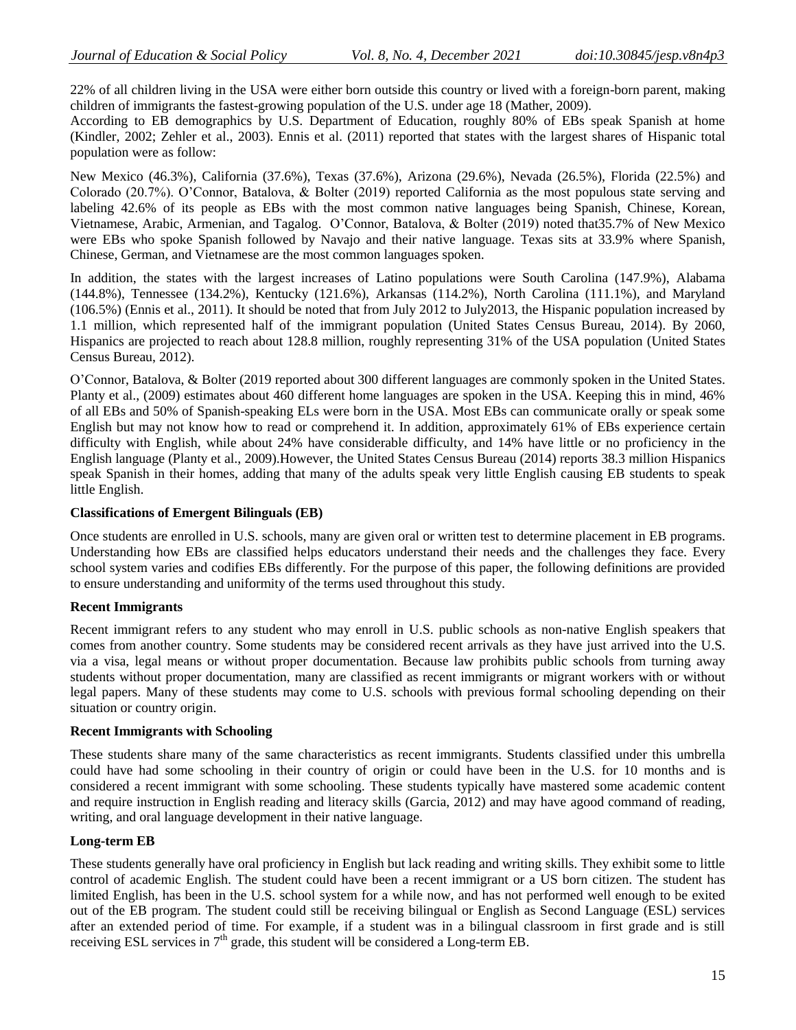22% of all children living in the USA were either born outside this country or lived with a foreign-born parent, making children of immigrants the fastest-growing population of the U.S. under age 18 (Mather, 2009).

According to EB demographics by U.S. Department of Education, roughly 80% of EBs speak Spanish at home (Kindler, 2002; Zehler et al., 2003). Ennis et al. (2011) reported that states with the largest shares of Hispanic total population were as follow:

New Mexico (46.3%), California (37.6%), Texas (37.6%), Arizona (29.6%), Nevada (26.5%), Florida (22.5%) and Colorado (20.7%). O'Connor, Batalova, & Bolter (2019) reported California as the most populous state serving and labeling 42.6% of its people as EBs with the most common native languages being Spanish, Chinese, Korean, Vietnamese, Arabic, Armenian, and Tagalog. O'Connor, Batalova, & Bolter (2019) noted that35.7% of New Mexico were EBs who spoke Spanish followed by Navajo and their native language. Texas sits at 33.9% where Spanish, Chinese, German, and Vietnamese are the most common languages spoken.

In addition, the states with the largest increases of Latino populations were South Carolina (147.9%), Alabama (144.8%), Tennessee (134.2%), Kentucky (121.6%), Arkansas (114.2%), North Carolina (111.1%), and Maryland (106.5%) (Ennis et al., 2011). It should be noted that from July 2012 to July2013, the Hispanic population increased by 1.1 million, which represented half of the immigrant population (United States Census Bureau, 2014). By 2060, Hispanics are projected to reach about 128.8 million, roughly representing 31% of the USA population (United States Census Bureau, 2012).

O'Connor, Batalova, & Bolter (2019 reported about 300 different languages are commonly spoken in the United States. Planty et al., (2009) estimates about 460 different home languages are spoken in the USA. Keeping this in mind, 46% of all EBs and 50% of Spanish-speaking ELs were born in the USA. Most EBs can communicate orally or speak some English but may not know how to read or comprehend it. In addition, approximately 61% of EBs experience certain difficulty with English, while about 24% have considerable difficulty, and 14% have little or no proficiency in the English language (Planty et al., 2009).However, the United States Census Bureau (2014) reports 38.3 million Hispanics speak Spanish in their homes, adding that many of the adults speak very little English causing EB students to speak little English.

#### **Classifications of Emergent Bilinguals (EB)**

Once students are enrolled in U.S. schools, many are given oral or written test to determine placement in EB programs. Understanding how EBs are classified helps educators understand their needs and the challenges they face. Every school system varies and codifies EBs differently. For the purpose of this paper, the following definitions are provided to ensure understanding and uniformity of the terms used throughout this study.

## **Recent Immigrants**

Recent immigrant refers to any student who may enroll in U.S. public schools as non-native English speakers that comes from another country. Some students may be considered recent arrivals as they have just arrived into the U.S. via a visa, legal means or without proper documentation. Because law prohibits public schools from turning away students without proper documentation, many are classified as recent immigrants or migrant workers with or without legal papers. Many of these students may come to U.S. schools with previous formal schooling depending on their situation or country origin.

#### **Recent Immigrants with Schooling**

These students share many of the same characteristics as recent immigrants. Students classified under this umbrella could have had some schooling in their country of origin or could have been in the U.S. for 10 months and is considered a recent immigrant with some schooling. These students typically have mastered some academic content and require instruction in English reading and literacy skills (Garcia, 2012) and may have agood command of reading, writing, and oral language development in their native language.

## **Long-term EB**

These students generally have oral proficiency in English but lack reading and writing skills. They exhibit some to little control of academic English. The student could have been a recent immigrant or a US born citizen. The student has limited English, has been in the U.S. school system for a while now, and has not performed well enough to be exited out of the EB program. The student could still be receiving bilingual or English as Second Language (ESL) services after an extended period of time. For example, if a student was in a bilingual classroom in first grade and is still receiving ESL services in  $7<sup>th</sup>$  grade, this student will be considered a Long-term EB.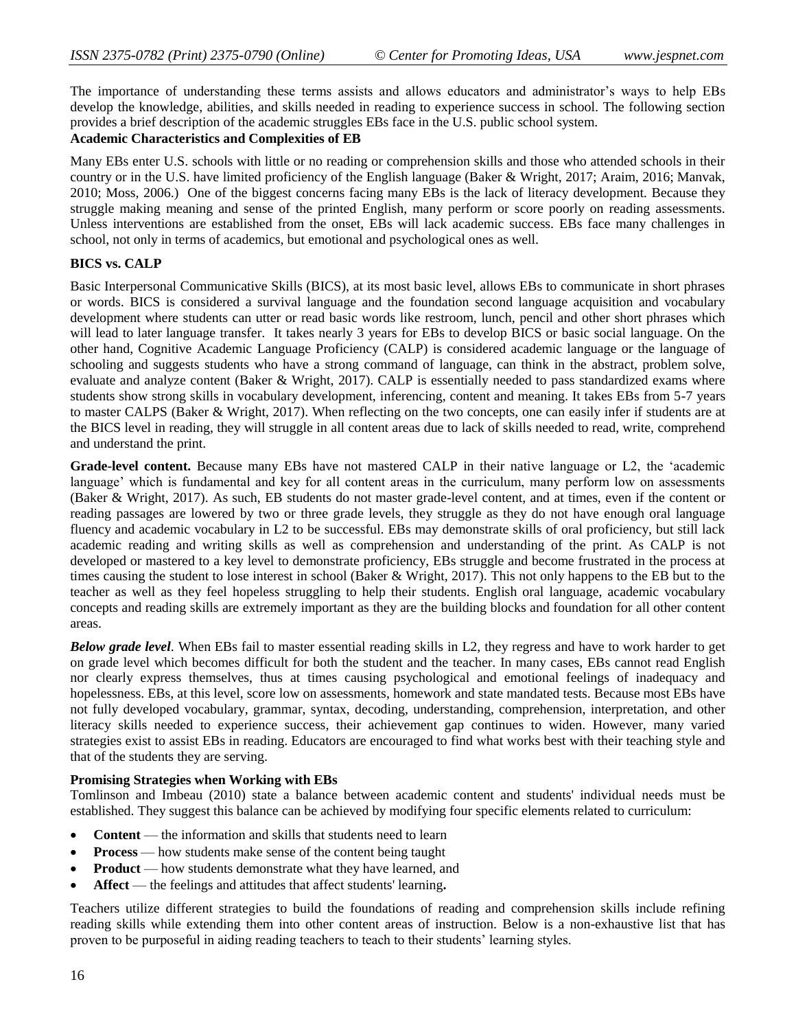The importance of understanding these terms assists and allows educators and administrator's ways to help EBs develop the knowledge, abilities, and skills needed in reading to experience success in school. The following section provides a brief description of the academic struggles EBs face in the U.S. public school system.

## **Academic Characteristics and Complexities of EB**

Many EBs enter U.S. schools with little or no reading or comprehension skills and those who attended schools in their country or in the U.S. have limited proficiency of the English language (Baker & Wright, 2017; Araim, 2016; Manvak, 2010; Moss, 2006.) One of the biggest concerns facing many EBs is the lack of literacy development. Because they struggle making meaning and sense of the printed English, many perform or score poorly on reading assessments. Unless interventions are established from the onset, EBs will lack academic success. EBs face many challenges in school, not only in terms of academics, but emotional and psychological ones as well.

## **BICS vs. CALP**

Basic Interpersonal Communicative Skills (BICS), at its most basic level, allows EBs to communicate in short phrases or words. BICS is considered a survival language and the foundation second language acquisition and vocabulary development where students can utter or read basic words like restroom, lunch, pencil and other short phrases which will lead to later language transfer. It takes nearly 3 years for EBs to develop BICS or basic social language. On the other hand, Cognitive Academic Language Proficiency (CALP) is considered academic language or the language of schooling and suggests students who have a strong command of language, can think in the abstract, problem solve, evaluate and analyze content (Baker & Wright, 2017). CALP is essentially needed to pass standardized exams where students show strong skills in vocabulary development, inferencing, content and meaning. It takes EBs from 5-7 years to master CALPS (Baker & Wright, 2017). When reflecting on the two concepts, one can easily infer if students are at the BICS level in reading, they will struggle in all content areas due to lack of skills needed to read, write, comprehend and understand the print.

**Grade-level content.** Because many EBs have not mastered CALP in their native language or L2, the 'academic language' which is fundamental and key for all content areas in the curriculum, many perform low on assessments (Baker & Wright, 2017). As such, EB students do not master grade-level content, and at times, even if the content or reading passages are lowered by two or three grade levels, they struggle as they do not have enough oral language fluency and academic vocabulary in L2 to be successful. EBs may demonstrate skills of oral proficiency, but still lack academic reading and writing skills as well as comprehension and understanding of the print. As CALP is not developed or mastered to a key level to demonstrate proficiency, EBs struggle and become frustrated in the process at times causing the student to lose interest in school (Baker & Wright, 2017). This not only happens to the EB but to the teacher as well as they feel hopeless struggling to help their students. English oral language, academic vocabulary concepts and reading skills are extremely important as they are the building blocks and foundation for all other content areas.

*Below grade level*. When EBs fail to master essential reading skills in L2, they regress and have to work harder to get on grade level which becomes difficult for both the student and the teacher. In many cases, EBs cannot read English nor clearly express themselves, thus at times causing psychological and emotional feelings of inadequacy and hopelessness. EBs, at this level, score low on assessments, homework and state mandated tests. Because most EBs have not fully developed vocabulary, grammar, syntax, decoding, understanding, comprehension, interpretation, and other literacy skills needed to experience success, their achievement gap continues to widen. However, many varied strategies exist to assist EBs in reading. Educators are encouraged to find what works best with their teaching style and that of the students they are serving.

## **Promising Strategies when Working with EBs**

Tomlinson and Imbeau (2010) state a balance between academic content and students' individual needs must be established. They suggest this balance can be achieved by modifying four specific elements related to curriculum:

- **Content** the information and skills that students need to learn
- **Process** how students make sense of the content being taught
- **Product** how students demonstrate what they have learned, and
- **Affect** the feelings and attitudes that affect students' learning**.**

Teachers utilize different strategies to build the foundations of reading and comprehension skills include refining reading skills while extending them into other content areas of instruction. Below is a non-exhaustive list that has proven to be purposeful in aiding reading teachers to teach to their students' learning styles.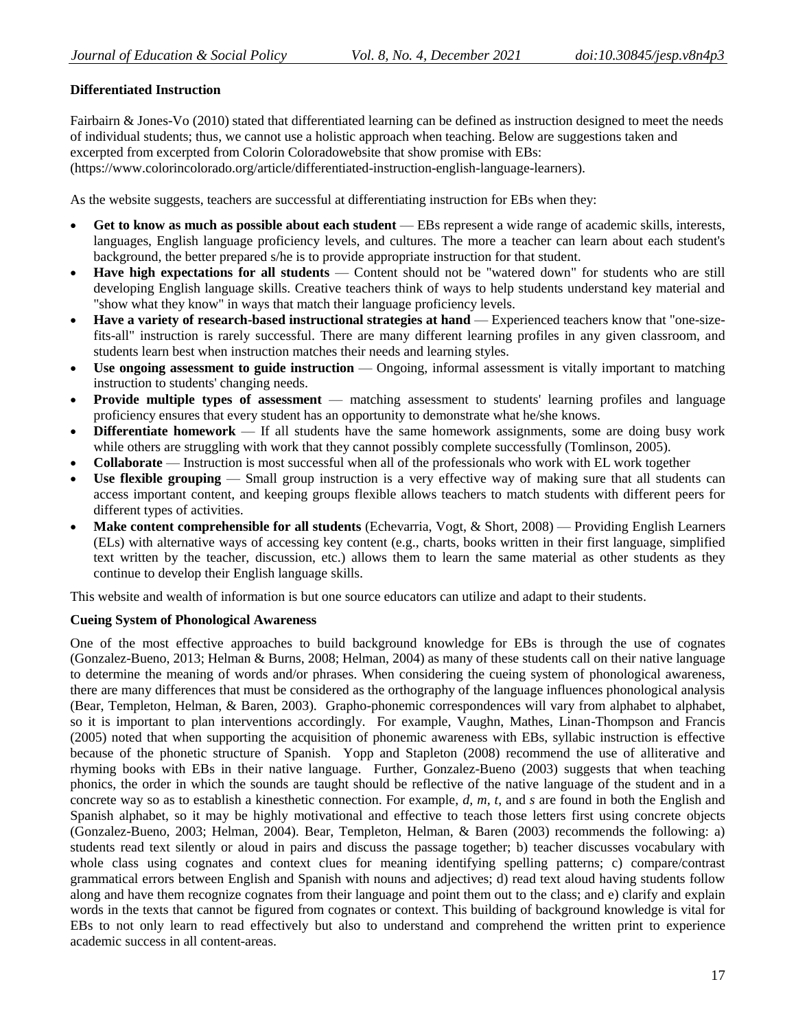# **Differentiated Instruction**

Fairbairn & Jones-Vo (2010) stated that differentiated learning can be defined as instruction designed to meet the needs of individual students; thus, we cannot use a holistic approach when teaching. Below are suggestions taken and excerpted from excerpted from Colorin Coloradowebsite that show promise with EBs: [\(https://www.colorincolorado.org/article/differentiated-instruction-english-language-learners\)](https://www.colorincolorado.org/article/differentiated-instruction-english-language-learners).

As the website suggests, teachers are successful at differentiating instruction for EBs when they:

- **Get to know as much as possible about each student** EBs represent a wide range of academic skills, interests, languages, English language proficiency levels, and cultures. The more a teacher can learn about each student's background, the better prepared s/he is to provide appropriate instruction for that student.
- **Have high expectations for all students** Content should not be "watered down" for students who are still developing English language skills. Creative teachers think of ways to help students understand key material and "show what they know" in ways that match their language proficiency levels.
- **Have a variety of research-based instructional strategies at hand** Experienced teachers know that "one-sizefits-all" instruction is rarely successful. There are many different learning profiles in any given classroom, and students learn best when instruction matches their needs and learning styles.
- Use ongoing assessment to guide instruction Ongoing, informal assessment is vitally important to matching instruction to students' changing needs.
- **Provide multiple types of assessment** matching assessment to students' learning profiles and language proficiency ensures that every student has an opportunity to demonstrate what he/she knows.
- **Differentiate homework** If all students have the same homework assignments, some are doing busy work while others are struggling with work that they cannot possibly complete successfully (Tomlinson, 2005).
- **Collaborate** Instruction is most successful when all of the professionals who work with EL work together
- **Use flexible grouping** Small group instruction is a very effective way of making sure that all students can access important content, and keeping groups flexible allows teachers to match students with different peers for different types of activities.
- **Make content comprehensible for all students** (Echevarria, Vogt, & Short, 2008) Providing English Learners (ELs) with alternative ways of accessing key content (e.g., charts, books written in their first language, simplified text written by the teacher, discussion, etc.) allows them to learn the same material as other students as they continue to develop their English language skills.

This website and wealth of information is but one source educators can utilize and adapt to their students.

## **Cueing System of Phonological Awareness**

One of the most effective approaches to build background knowledge for EBs is through the use of cognates (Gonzalez-Bueno, 2013; Helman & Burns, 2008; Helman, 2004) as many of these students call on their native language to determine the meaning of words and/or phrases. When considering the cueing system of phonological awareness, there are many differences that must be considered as the orthography of the language influences phonological analysis (Bear, Templeton, Helman, & Baren, 2003). Grapho-phonemic correspondences will vary from alphabet to alphabet, so it is important to plan interventions accordingly. For example, Vaughn, Mathes, Linan-Thompson and Francis (2005) noted that when supporting the acquisition of phonemic awareness with EBs, syllabic instruction is effective because of the phonetic structure of Spanish. Yopp and Stapleton (2008) recommend the use of alliterative and rhyming books with EBs in their native language. Further, Gonzalez-Bueno (2003) suggests that when teaching phonics, the order in which the sounds are taught should be reflective of the native language of the student and in a concrete way so as to establish a kinesthetic connection. For example, *d, m, t*, and *s* are found in both the English and Spanish alphabet, so it may be highly motivational and effective to teach those letters first using concrete objects (Gonzalez-Bueno, 2003; Helman, 2004). Bear, Templeton, Helman, & Baren (2003) recommends the following: a) students read text silently or aloud in pairs and discuss the passage together; b) teacher discusses vocabulary with whole class using cognates and context clues for meaning identifying spelling patterns; c) compare/contrast grammatical errors between English and Spanish with nouns and adjectives; d) read text aloud having students follow along and have them recognize cognates from their language and point them out to the class; and e) clarify and explain words in the texts that cannot be figured from cognates or context. This building of background knowledge is vital for EBs to not only learn to read effectively but also to understand and comprehend the written print to experience academic success in all content-areas.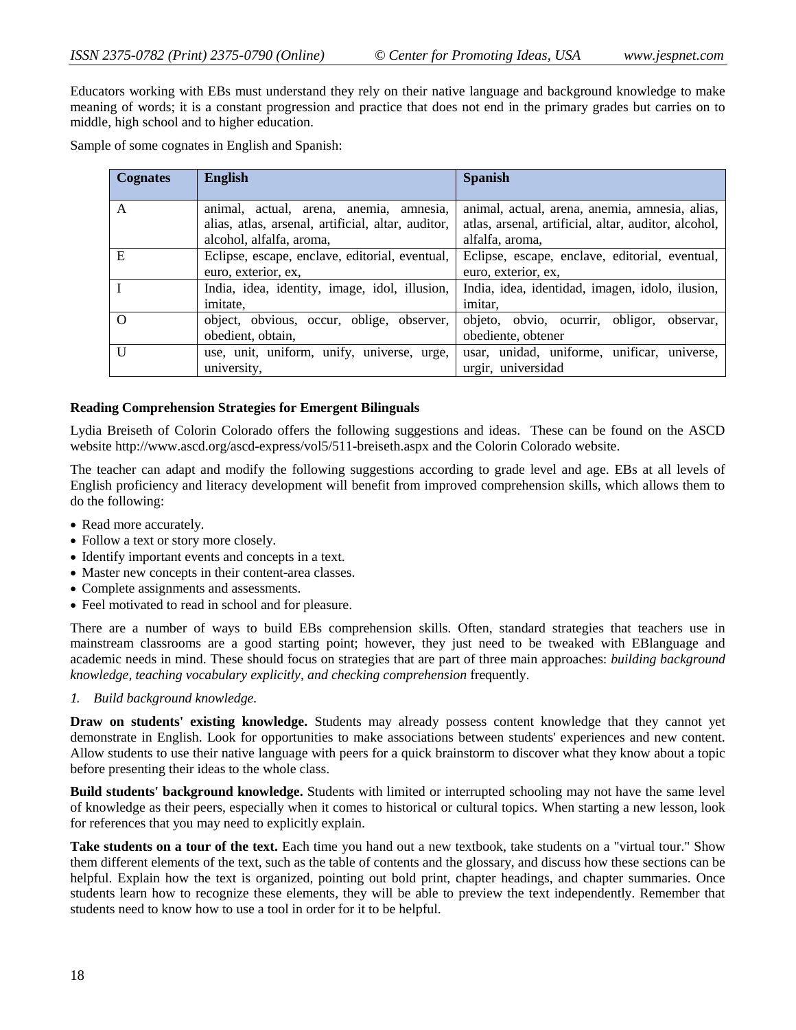Educators working with EBs must understand they rely on their native language and background knowledge to make meaning of words; it is a constant progression and practice that does not end in the primary grades but carries on to middle, high school and to higher education.

Sample of some cognates in English and Spanish:

| <b>Cognates</b> | <b>English</b>                                                                                                            | <b>Spanish</b>                                                                                                            |
|-----------------|---------------------------------------------------------------------------------------------------------------------------|---------------------------------------------------------------------------------------------------------------------------|
| A               | animal, actual, arena, anemia, amnesia,<br>alias, atlas, arsenal, artificial, altar, auditor,<br>alcohol, alfalfa, aroma, | animal, actual, arena, anemia, amnesia, alias,<br>atlas, arsenal, artificial, altar, auditor, alcohol,<br>alfalfa, aroma, |
| Ε               | Eclipse, escape, enclave, editorial, eventual,<br>euro, exterior, ex,                                                     | Eclipse, escape, enclave, editorial, eventual,<br>euro, exterior, ex,                                                     |
|                 | India, idea, identity, image, idol, illusion,<br>imitate,                                                                 | India, idea, identidad, imagen, idolo, ilusion,<br>imitar,                                                                |
|                 | object, obvious, occur, oblige, observer,<br>obedient, obtain,                                                            | objeto, obvio, ocurrir, obligor, observar,<br>obediente, obtener                                                          |
| $\mathbf{I}$    | use, unit, uniform, unify, universe, urge,<br>university,                                                                 | usar, unidad, uniforme, unificar, universe,<br>urgir, universidad                                                         |

#### **Reading Comprehension Strategies for Emergent Bilinguals**

Lydia Breiseth of Colorin Colorado offers the following suggestions and ideas. These can be found on the ASCD websit[e http://www.ascd.org/ascd-express/vol5/511-breiseth.aspx](http://www.ascd.org/ascd-express/vol5/511-breiseth.aspx) and the Colorin Colorado website.

The teacher can adapt and modify the following suggestions according to grade level and age. EBs at all levels of English proficiency and literacy development will benefit from improved comprehension skills, which allows them to do the following:

- Read more accurately.
- Follow a text or story more closely.
- Identify important events and concepts in a text.
- Master new concepts in their content-area classes.
- Complete assignments and assessments.
- Feel motivated to read in school and for pleasure.

There are a number of ways to build EBs comprehension skills. Often, standard strategies that teachers use in mainstream classrooms are a good starting point; however, they just need to be tweaked with EBlanguage and academic needs in mind. These should focus on strategies that are part of three main approaches: *building background knowledge, teaching vocabulary explicitly, and checking comprehension* frequently.

#### *1. Build background knowledge.*

**Draw on students' existing knowledge.** Students may already possess content knowledge that they cannot yet demonstrate in English. Look for opportunities to make associations between students' experiences and new content. Allow students to use their native language with peers for a quick brainstorm to discover what they know about a topic before presenting their ideas to the whole class.

**Build students' background knowledge.** Students with limited or interrupted schooling may not have the same level of knowledge as their peers, especially when it comes to historical or cultural topics. When starting a new lesson, look for references that you may need to explicitly explain.

**Take students on a tour of the text.** Each time you hand out a new textbook, take students on a "virtual tour." Show them different elements of the text, such as the table of contents and the glossary, and discuss how these sections can be helpful. Explain how the text is organized, pointing out bold print, chapter headings, and chapter summaries. Once students learn how to recognize these elements, they will be able to preview the text independently. Remember that students need to know how to use a tool in order for it to be helpful.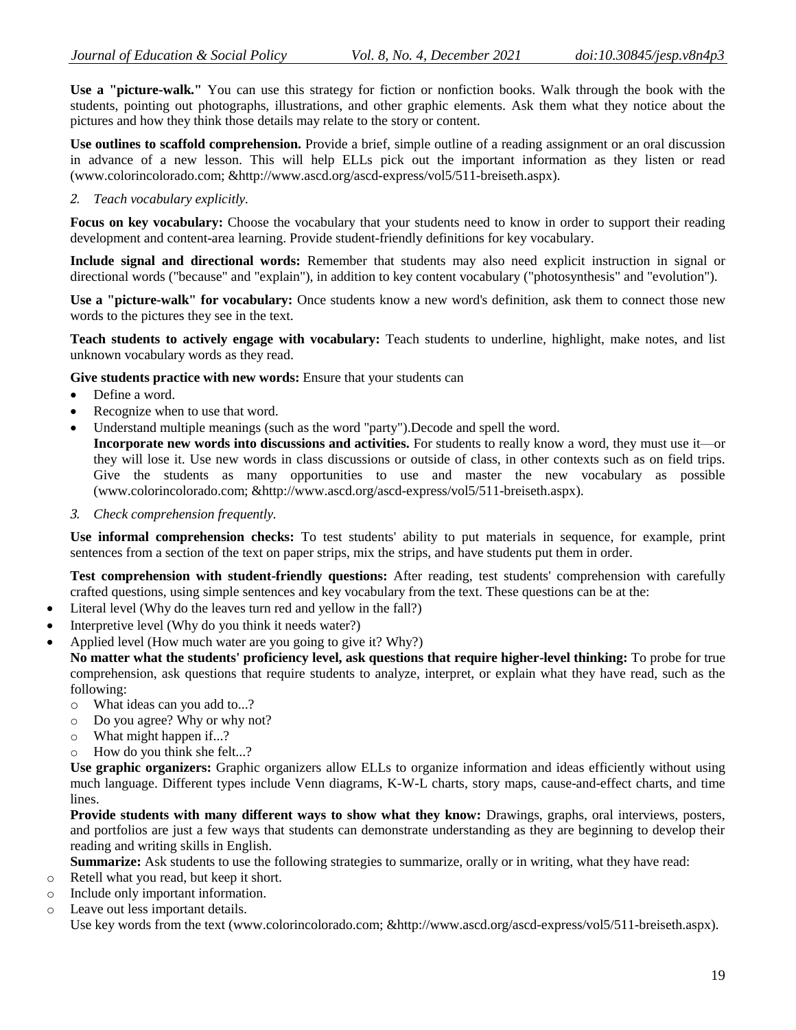**Use a "picture-walk."** You can use this strategy for fiction or nonfiction books. Walk through the book with the students, pointing out photographs, illustrations, and other graphic elements. Ask them what they notice about the pictures and how they think those details may relate to the story or content.

**Use outlines to scaffold comprehension.** Provide a brief, simple outline of a reading assignment or an oral discussion in advance of a new lesson. This will help ELLs pick out the important information as they listen or read [\(www.colorincolorado.com;](http://www.colorincolorado.com/) [&http://www.ascd.org/ascd-express/vol5/511-breiseth.aspx\)](http://www.ascd.org/ascd-express/vol5/511-breiseth.aspx).

#### *2. Teach vocabulary explicitly.*

**Focus on key vocabulary:** Choose the vocabulary that your students need to know in order to support their reading development and content-area learning. Provide student-friendly definitions for key vocabulary.

**Include signal and directional words:** Remember that students may also need explicit instruction in signal or directional words ("because" and "explain"), in addition to key content vocabulary ("photosynthesis" and "evolution").

**Use a "picture-walk" for vocabulary:** Once students know a new word's definition, ask them to connect those new words to the pictures they see in the text.

**Teach students to actively engage with vocabulary:** Teach students to underline, highlight, make notes, and list unknown vocabulary words as they read.

**Give students practice with new words:** Ensure that your students can

- Define a word.
- Recognize when to use that word.
- Understand multiple meanings (such as the word "party").Decode and spell the word.

**Incorporate new words into discussions and activities.** For students to really know a word, they must use it—or they will lose it. Use new words in class discussions or outside of class, in other contexts such as on field trips. Give the students as many opportunities to use and master the new vocabulary as possible [\(www.colorincolorado.com;](http://www.colorincolorado.com/) [&http://www.ascd.org/ascd-express/vol5/511-breiseth.aspx\)](http://www.ascd.org/ascd-express/vol5/511-breiseth.aspx).

#### *3. Check comprehension frequently.*

**Use informal comprehension checks:** To test students' ability to put materials in sequence, for example, print sentences from a section of the text on paper strips, mix the strips, and have students put them in order.

**Test comprehension with student-friendly questions:** After reading, test students' comprehension with carefully crafted questions, using simple sentences and key vocabulary from the text. These questions can be at the:

- Literal level (Why do the leaves turn red and yellow in the fall?)
- Interpretive level (Why do you think it needs water?)
- Applied level (How much water are you going to give it? Why?)

**No matter what the students' proficiency level, ask questions that require higher-level thinking:** To probe for true comprehension, ask questions that require students to analyze, interpret, or explain what they have read, such as the following:

- o What ideas can you add to...?
- o Do you agree? Why or why not?
- o What might happen if...?
- o How do you think she felt...?

**Use graphic organizers:** Graphic organizers allow ELLs to organize information and ideas efficiently without using much language. Different types include Venn diagrams, K-W-L charts, story maps, cause-and-effect charts, and time lines.

**Provide students with many different ways to show what they know:** Drawings, graphs, oral interviews, posters, and portfolios are just a few ways that students can demonstrate understanding as they are beginning to develop their reading and writing skills in English.

**Summarize:** Ask students to use the following strategies to summarize, orally or in writing, what they have read:

- o Retell what you read, but keep it short.
- o Include only important information.
- o Leave out less important details.

Use key words from the text [\(www.colorincolorado.com;](http://www.colorincolorado.com/) [&http://www.ascd.org/ascd-express/vol5/511-breiseth.aspx\)](http://www.ascd.org/ascd-express/vol5/511-breiseth.aspx).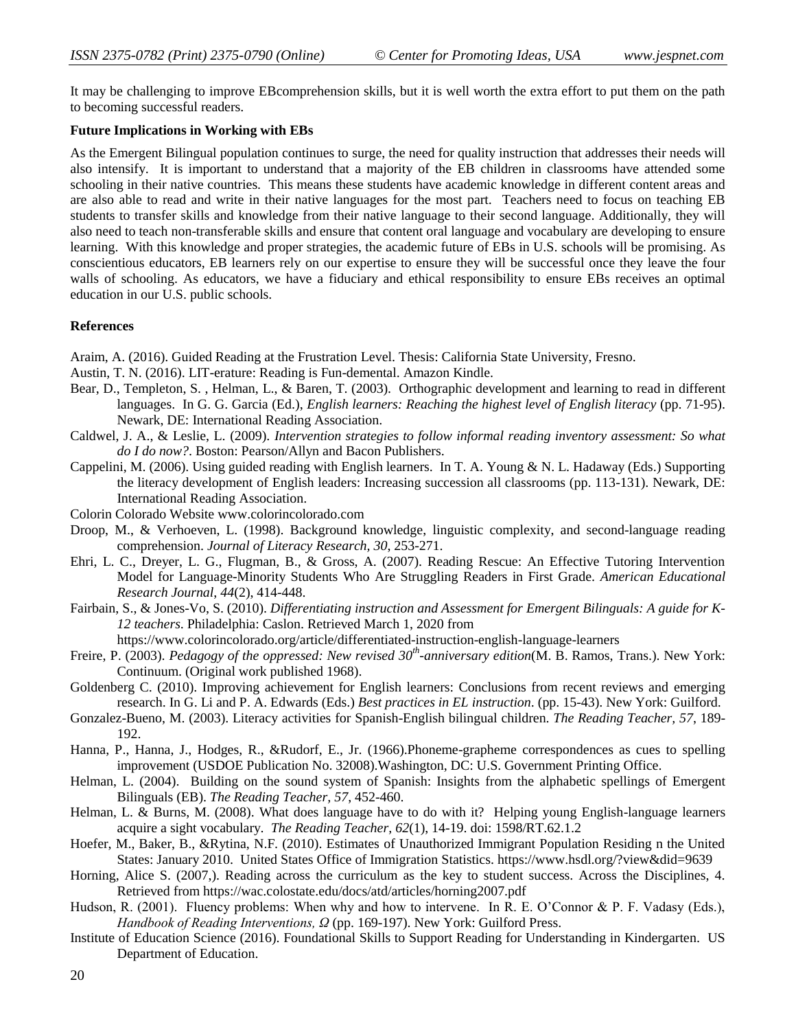It may be challenging to improve EBcomprehension skills, but it is well worth the extra effort to put them on the path to becoming successful readers.

#### **Future Implications in Working with EBs**

As the Emergent Bilingual population continues to surge, the need for quality instruction that addresses their needs will also intensify. It is important to understand that a majority of the EB children in classrooms have attended some schooling in their native countries. This means these students have academic knowledge in different content areas and are also able to read and write in their native languages for the most part. Teachers need to focus on teaching EB students to transfer skills and knowledge from their native language to their second language. Additionally, they will also need to teach non-transferable skills and ensure that content oral language and vocabulary are developing to ensure learning. With this knowledge and proper strategies, the academic future of EBs in U.S. schools will be promising. As conscientious educators, EB learners rely on our expertise to ensure they will be successful once they leave the four walls of schooling. As educators, we have a fiduciary and ethical responsibility to ensure EBs receives an optimal education in our U.S. public schools.

#### **References**

Araim, A. (2016). Guided Reading at the Frustration Level. Thesis: California State University, Fresno.

- Austin, T. N. (2016). LIT-erature: Reading is Fun-demental. Amazon Kindle.
- Bear, D., Templeton, S. , Helman, L., & Baren, T. (2003). Orthographic development and learning to read in different languages. In G. G. Garcia (Ed.), *English learners: Reaching the highest level of English literacy* (pp. 71-95). Newark, DE: International Reading Association.
- Caldwel, J. A., & Leslie, L. (2009). *Intervention strategies to follow informal reading inventory assessment: So what do I do now?*. Boston: Pearson/Allyn and Bacon Publishers.
- Cappelini, M. (2006). Using guided reading with English learners. In T. A. Young & N. L. Hadaway (Eds.) Supporting the literacy development of English leaders: Increasing succession all classrooms (pp. 113-131). Newark, DE: International Reading Association.
- Colorin Colorado Website [www.colorincolorado.com](http://www.colorincolorado.com/)
- Droop, M., & Verhoeven, L. (1998). Background knowledge, linguistic complexity, and second-language reading comprehension. *Journal of Literacy Research, 30*, 253-271.
- Ehri, L. C., Dreyer, L. G., Flugman, B., & Gross, A. (2007). Reading Rescue: An Effective Tutoring Intervention Model for Language-Minority Students Who Are Struggling Readers in First Grade. *American Educational Research Journal*, *44*(2), 414-448.
- Fairbain, S., & Jones-Vo, S. (2010). *Differentiating instruction and Assessment for Emergent Bilinguals: A guide for K-12 teachers*. Philadelphia: Caslon. Retrieved March 1, 2020 from

<https://www.colorincolorado.org/article/differentiated-instruction-english-language-learners>

- Freire, P. (2003). *Pedagogy of the oppressed: New revised 30th -anniversary edition*(M. B. Ramos, Trans.). New York: Continuum. (Original work published 1968).
- Goldenberg C. (2010). Improving achievement for English learners: Conclusions from recent reviews and emerging research. In G. Li and P. A. Edwards (Eds.) *Best practices in EL instruction*. (pp. 15-43). New York: Guilford.
- Gonzalez-Bueno, M. (2003). Literacy activities for Spanish-English bilingual children. *The Reading Teacher, 57*, 189- 192.
- Hanna, P., Hanna, J., Hodges, R., &Rudorf, E., Jr. (1966).Phoneme-grapheme correspondences as cues to spelling improvement (USDOE Publication No. 32008).Washington, DC: U.S. Government Printing Office.
- Helman, L. (2004). Building on the sound system of Spanish: Insights from the alphabetic spellings of Emergent Bilinguals (EB). *The Reading Teacher, 57*, 452-460.
- Helman, L. & Burns, M. (2008). What does language have to do with it? Helping young English-language learners acquire a sight vocabulary. *The Reading Teacher, 62*(1), 14-19. doi: 1598/RT.62.1.2
- Hoefer, M., Baker, B., &Rytina, N.F. (2010). Estimates of Unauthorized Immigrant Population Residing n the United States: January 2010. United States Office of Immigration Statistics.<https://www.hsdl.org/?view&did=9639>
- Horning, Alice S. (2007,). Reading across the curriculum as the key to student success. Across the Disciplines, 4. Retrieved from https://wac.colostate.edu/docs/atd/articles/horning2007.pdf
- Hudson, R. (2001). Fluency problems: When why and how to intervene. In R. E. O'Connor & P. F. Vadasy (Eds.), *Handbook of Reading Interventions, Ω* (pp. 169-197). New York: Guilford Press.
- Institute of Education Science (2016). Foundational Skills to Support Reading for Understanding in Kindergarten. US Department of Education.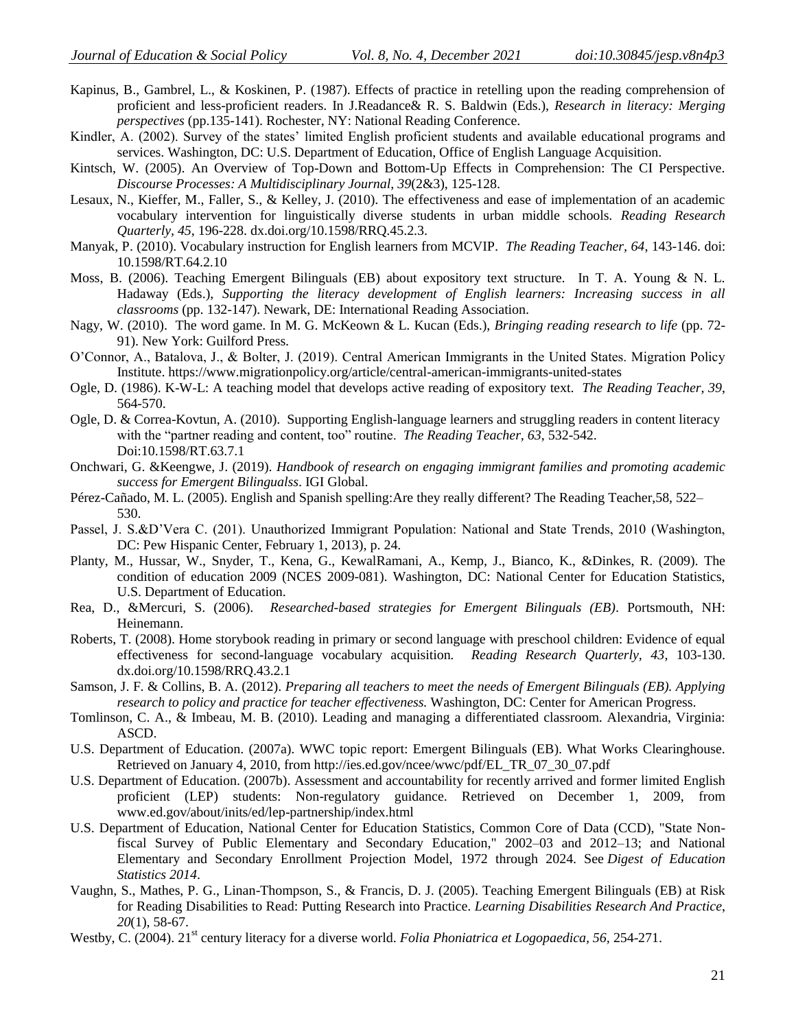- Kapinus, B., Gambrel, L., & Koskinen, P. (1987). Effects of practice in retelling upon the reading comprehension of proficient and less-proficient readers. In J.Readance& R. S. Baldwin (Eds.), *Research in literacy: Merging perspectives* (pp.135-141). Rochester, NY: National Reading Conference.
- Kindler, A. (2002). Survey of the states' limited English proficient students and available educational programs and services. Washington, DC: U.S. Department of Education, Office of English Language Acquisition.
- Kintsch, W. (2005). An Overview of Top-Down and Bottom-Up Effects in Comprehension: The CI Perspective. *Discourse Processes: A Multidisciplinary Journal*, *39*(2&3), 125-128.
- Lesaux, N., Kieffer, M., Faller, S., & Kelley, J. (2010). The effectiveness and ease of implementation of an academic vocabulary intervention for linguistically diverse students in urban middle schools*. Reading Research Quarterly, 45*, 196-228. dx.doi.org/10.1598/RRQ.45.2.3.
- Manyak, P. (2010). Vocabulary instruction for English learners from MCVIP. *The Reading Teacher, 64*, 143-146. doi: 10.1598/RT.64.2.10
- Moss, B. (2006). Teaching Emergent Bilinguals (EB) about expository text structure. In T. A. Young & N. L. Hadaway (Eds.), *Supporting the literacy development of English learners: Increasing success in all classrooms* (pp. 132-147). Newark, DE: International Reading Association.
- Nagy, W. (2010). The word game. In M. G. McKeown & L. Kucan (Eds.), *Bringing reading research to life* (pp. 72- 91). New York: Guilford Press.
- O'Connor, A., Batalova, J., & Bolter, J. (2019). Central American Immigrants in the United States. Migration Policy Institute.<https://www.migrationpolicy.org/article/central-american-immigrants-united-states>
- Ogle, D. (1986). K-W-L: A teaching model that develops active reading of expository text. *The Reading Teacher, 39*, 564-570.
- Ogle, D. & Correa-Kovtun, A. (2010). Supporting English-language learners and struggling readers in content literacy with the "partner reading and content, too" routine. *The Reading Teacher*, 63, 532-542. Doi:10.1598/RT.63.7.1
- Onchwari, G. &Keengwe, J. (2019). *Handbook of research on engaging immigrant families and promoting academic success for Emergent Bilingualss*. IGI Global.
- Pérez-Cañado, M. L. (2005). English and Spanish spelling:Are they really different? The Reading Teacher,58, 522– 530.
- Passel, J. S.&D'Vera C. (201). Unauthorized Immigrant Population: National and State Trends, 2010 (Washington, DC: Pew Hispanic Center, February 1, 2013), p. 24.
- Planty, M., Hussar, W., Snyder, T., Kena, G., KewalRamani, A., Kemp, J., Bianco, K., &Dinkes, R. (2009). The condition of education 2009 (NCES 2009-081). Washington, DC: National Center for Education Statistics, U.S. Department of Education.
- Rea, D., &Mercuri, S. (2006). *Researched-based strategies for Emergent Bilinguals (EB)*. Portsmouth, NH: Heinemann.
- Roberts, T. (2008). Home storybook reading in primary or second language with preschool children: Evidence of equal effectiveness for second-language vocabulary acquisition*. Reading Research Quarterly, 43*, 103-130. dx.doi.org/10.1598/RRQ.43.2.1
- Samson, J. F. & Collins, B. A. (2012). *Preparing all teachers to meet the needs of Emergent Bilinguals (EB). Applying research to policy and practice for teacher effectiveness.* Washington, DC: Center for American Progress.
- Tomlinson, C. A., & Imbeau, M. B. (2010). Leading and managing a differentiated classroom. Alexandria, Virginia: ASCD.
- U.S. Department of Education. (2007a). WWC topic report: Emergent Bilinguals (EB). What Works Clearinghouse. Retrieved on January 4, 2010, from http://ies.ed.gov/ncee/wwc/pdf/EL\_TR\_07\_30\_07.pdf
- U.S. Department of Education. (2007b). Assessment and accountability for recently arrived and former limited English proficient (LEP) students: Non-regulatory guidance. Retrieved on December 1, 2009, from www.ed.gov/about/inits/ed/lep-partnership/index.html
- U.S. Department of Education, National Center for Education Statistics, Common Core of Data (CCD), "State Nonfiscal Survey of Public Elementary and Secondary Education," 2002–03 and 2012–13; and National Elementary and Secondary Enrollment Projection Model, 1972 through 2024. See *Digest of Education Statistics 2014*.
- Vaughn, S., Mathes, P. G., Linan-Thompson, S., & Francis, D. J. (2005). Teaching Emergent Bilinguals (EB) at Risk for Reading Disabilities to Read: Putting Research into Practice. *Learning Disabilities Research And Practice*, *20*(1), 58-67.
- Westby, C. (2004). 21<sup>st</sup> century literacy for a diverse world. *Folia Phoniatrica et Logopaedica*, 56, 254-271.